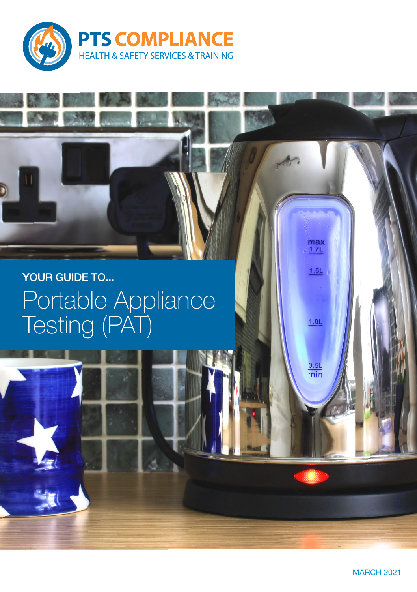

### YOUR GUIDE TO... Portable Appliance Testing (PAT)



max<br><u>1.7L</u>

 $1.5L$ 

 $1.0L$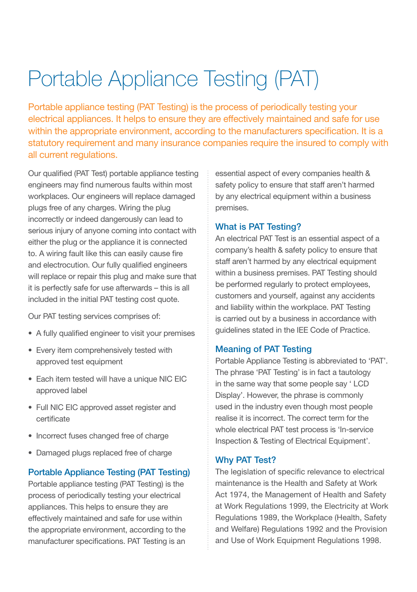# Portable Appliance Testing (PAT)

Portable appliance testing (PAT Testing) is the process of periodically testing your electrical appliances. It helps to ensure they are effectively maintained and safe for use within the appropriate environment, according to the manufacturers specification. It is a statutory requirement and many insurance companies require the insured to comply with all current regulations.

Our qualified (PAT Test) portable appliance testing engineers may find numerous faults within most workplaces. Our engineers will replace damaged plugs free of any charges. Wiring the plug incorrectly or indeed dangerously can lead to serious injury of anyone coming into contact with either the plug or the appliance it is connected to. A wiring fault like this can easily cause fire and electrocution. Our fully qualified engineers will replace or repair this plug and make sure that it is perfectly safe for use afterwards – this is all included in the initial PAT testing cost quote.

Our PAT testing services comprises of:

- A fully qualified engineer to visit your premises
- Every item comprehensively tested with approved test equipment
- Each item tested will have a unique NIC EIC approved label
- Full NIC EIC approved asset register and certificate
- Incorrect fuses changed free of charge
- Damaged plugs replaced free of charge

#### Portable Appliance Testing (PAT Testing)

Portable appliance testing (PAT Testing) is the process of periodically testing your electrical appliances. This helps to ensure they are effectively maintained and safe for use within the appropriate environment, according to the manufacturer specifications. PAT Testing is an

essential aspect of every companies health & safety policy to ensure that staff aren't harmed by any electrical equipment within a business premises.

#### What is PAT Testing?

An electrical PAT Test is an essential aspect of a company's health & safety policy to ensure that staff aren't harmed by any electrical equipment within a business premises. PAT Testing should be performed regularly to protect employees, customers and yourself, against any accidents and liability within the workplace. PAT Testing is carried out by a business in accordance with guidelines stated in the IEE Code of Practice.

#### Meaning of PAT Testing

Portable Appliance Testing is abbreviated to 'PAT'. The phrase 'PAT Testing' is in fact a tautology in the same way that some people say ' LCD Display'. However, the phrase is commonly used in the industry even though most people realise it is incorrect. The correct term for the whole electrical PAT test process is 'In-service Inspection & Testing of Electrical Equipment'.

#### Why PAT Test?

The legislation of specific relevance to electrical maintenance is the Health and Safety at Work Act 1974, the Management of Health and Safety at Work Regulations 1999, the Electricity at Work Regulations 1989, the Workplace (Health, Safety and Welfare) Regulations 1992 and the Provision and Use of Work Equipment Regulations 1998.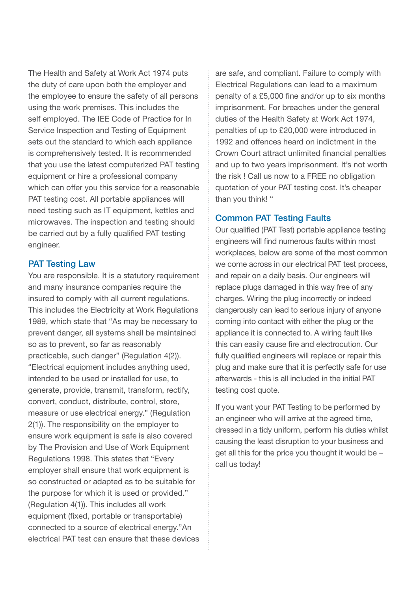The Health and Safety at Work Act 1974 puts the duty of care upon both the employer and the employee to ensure the safety of all persons using the work premises. This includes the self employed. The IEE Code of Practice for In Service Inspection and Testing of Equipment sets out the standard to which each appliance is comprehensively tested. It is recommended that you use the latest computerized PAT testing equipment or hire a professional company which can offer you this service for a reasonable PAT testing cost. All portable appliances will need testing such as IT equipment, kettles and microwaves. The inspection and testing should be carried out by a fully qualified PAT testing engineer.

#### PAT Testing Law

You are responsible. It is a statutory requirement and many insurance companies require the insured to comply with all current regulations. This includes the Electricity at Work Regulations 1989, which state that "As may be necessary to prevent danger, all systems shall be maintained so as to prevent, so far as reasonably practicable, such danger" (Regulation 4(2)). "Electrical equipment includes anything used, intended to be used or installed for use, to generate, provide, transmit, transform, rectify, convert, conduct, distribute, control, store, measure or use electrical energy." (Regulation 2(1)). The responsibility on the employer to ensure work equipment is safe is also covered by The Provision and Use of Work Equipment Regulations 1998. This states that "Every employer shall ensure that work equipment is so constructed or adapted as to be suitable for the purpose for which it is used or provided." (Regulation 4(1)). This includes all work equipment (fixed, portable or transportable) connected to a source of electrical energy."An electrical PAT test can ensure that these devices are safe, and compliant. Failure to comply with Electrical Regulations can lead to a maximum penalty of a £5,000 fine and/or up to six months imprisonment. For breaches under the general duties of the Health Safety at Work Act 1974, penalties of up to £20,000 were introduced in 1992 and offences heard on indictment in the Crown Court attract unlimited financial penalties and up to two years imprisonment. It's not worth the risk ! Call us now to a FREE no obligation quotation of your PAT testing cost. It's cheaper than you think! "

### Common PAT Testing Faults

Our qualified (PAT Test) portable appliance testing engineers will find numerous faults within most workplaces, below are some of the most common we come across in our electrical PAT test process, and repair on a daily basis. Our engineers will replace plugs damaged in this way free of any charges. Wiring the plug incorrectly or indeed dangerously can lead to serious injury of anyone coming into contact with either the plug or the appliance it is connected to. A wiring fault like this can easily cause fire and electrocution. Our fully qualified engineers will replace or repair this plug and make sure that it is perfectly safe for use afterwards - this is all included in the initial PAT testing cost quote.

If you want your PAT Testing to be performed by an engineer who will arrive at the agreed time, dressed in a tidy uniform, perform his duties whilst causing the least disruption to your business and get all this for the price you thought it would be – call us today!